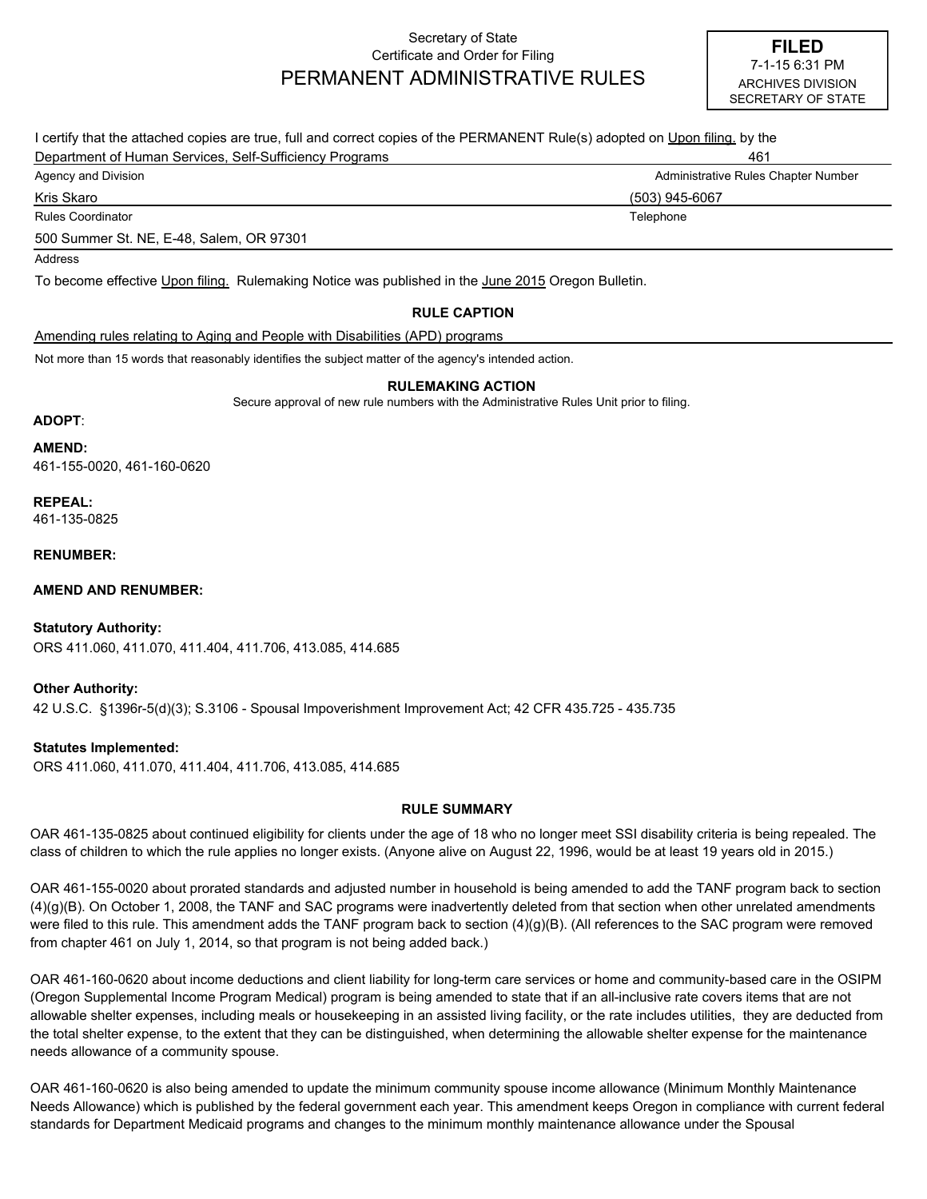# Secretary of State Certificate and Order for Filing PERMANENT ADMINISTRATIVE RULES

| I certify that the attached copies are true, full and correct copies of the PERMANENT Rule(s) adopted on Upon filing, by the |                                     |
|------------------------------------------------------------------------------------------------------------------------------|-------------------------------------|
| Department of Human Services, Self-Sufficiency Programs                                                                      | 461                                 |
| Agency and Division                                                                                                          | Administrative Rules Chapter Number |
| Kris Skaro                                                                                                                   | (503) 945-6067                      |
| Rules Coordinator                                                                                                            | Telephone                           |
| 500 Summer St. NE, E-48, Salem, OR 97301                                                                                     |                                     |
| Address                                                                                                                      |                                     |
| To become effective Upon filing. Rulemaking Notice was published in the June 2015 Oregon Bulletin.                           |                                     |

# **RULE CAPTION**

Amending rules relating to Aging and People with Disabilities (APD) programs

Not more than 15 words that reasonably identifies the subject matter of the agency's intended action.

#### **RULEMAKING ACTION**

Secure approval of new rule numbers with the Administrative Rules Unit prior to filing.

# **ADOPT**:

461-155-0020, 461-160-0620 **AMEND:**

**REPEAL:** 461-135-0825

#### **RENUMBER:**

**AMEND AND RENUMBER:**

# **Statutory Authority:**

ORS 411.060, 411.070, 411.404, 411.706, 413.085, 414.685

42 U.S.C. §1396r-5(d)(3); S.3106 - Spousal Impoverishment Improvement Act; 42 CFR 435.725 - 435.735 **Other Authority:**

# **Statutes Implemented:**

ORS 411.060, 411.070, 411.404, 411.706, 413.085, 414.685

# **RULE SUMMARY**

OAR 461-135-0825 about continued eligibility for clients under the age of 18 who no longer meet SSI disability criteria is being repealed. The class of children to which the rule applies no longer exists. (Anyone alive on August 22, 1996, would be at least 19 years old in 2015.)

OAR 461-155-0020 about prorated standards and adjusted number in household is being amended to add the TANF program back to section (4)(g)(B). On October 1, 2008, the TANF and SAC programs were inadvertently deleted from that section when other unrelated amendments were filed to this rule. This amendment adds the TANF program back to section (4)(g)(B). (All references to the SAC program were removed from chapter 461 on July 1, 2014, so that program is not being added back.)

OAR 461-160-0620 about income deductions and client liability for long-term care services or home and community-based care in the OSIPM (Oregon Supplemental Income Program Medical) program is being amended to state that if an all-inclusive rate covers items that are not allowable shelter expenses, including meals or housekeeping in an assisted living facility, or the rate includes utilities, they are deducted from the total shelter expense, to the extent that they can be distinguished, when determining the allowable shelter expense for the maintenance needs allowance of a community spouse.

OAR 461-160-0620 is also being amended to update the minimum community spouse income allowance (Minimum Monthly Maintenance Needs Allowance) which is published by the federal government each year. This amendment keeps Oregon in compliance with current federal standards for Department Medicaid programs and changes to the minimum monthly maintenance allowance under the Spousal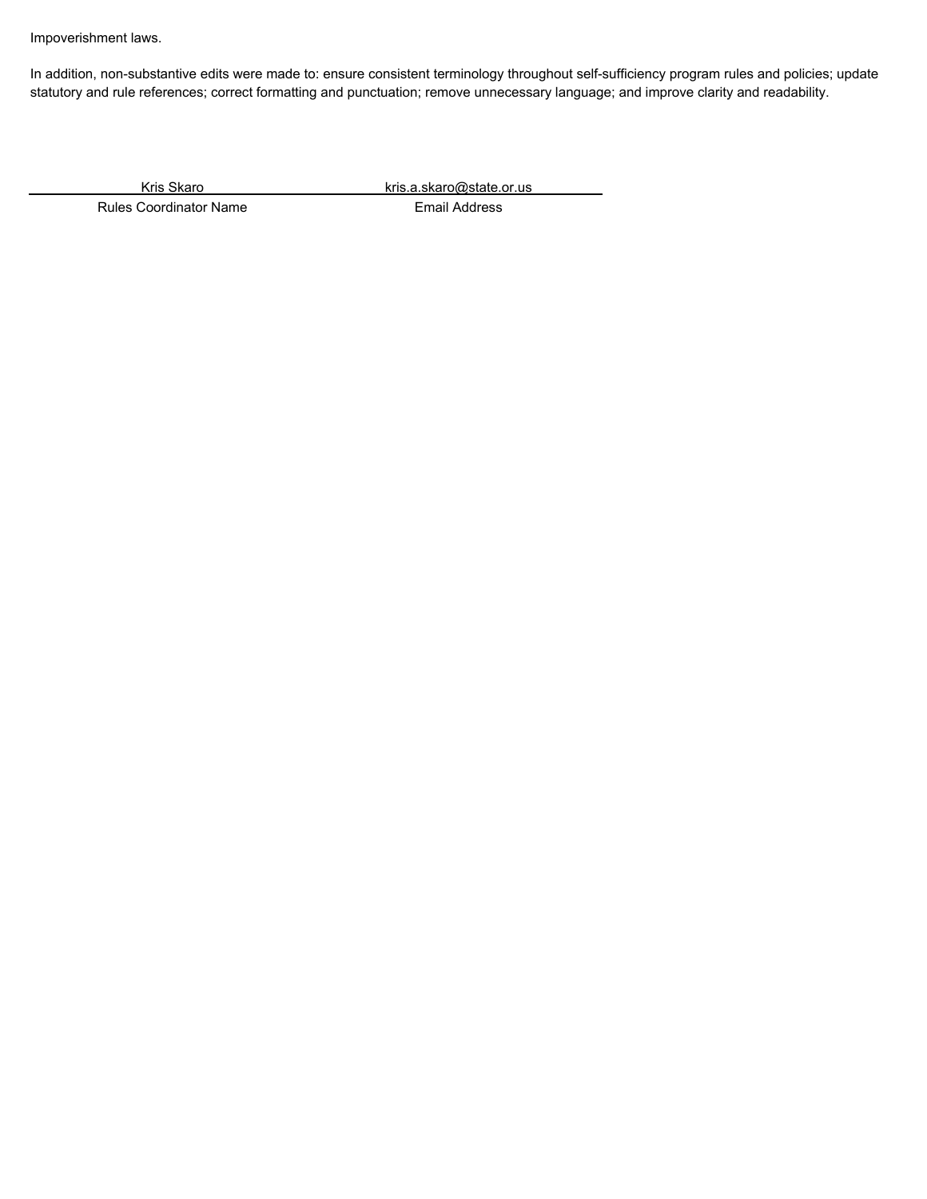Impoverishment laws.

In addition, non-substantive edits were made to: ensure consistent terminology throughout self-sufficiency program rules and policies; update statutory and rule references; correct formatting and punctuation; remove unnecessary language; and improve clarity and readability.

Kris Skaro kris.a.skaro@state.or.us

Rules Coordinator Name **Email Address**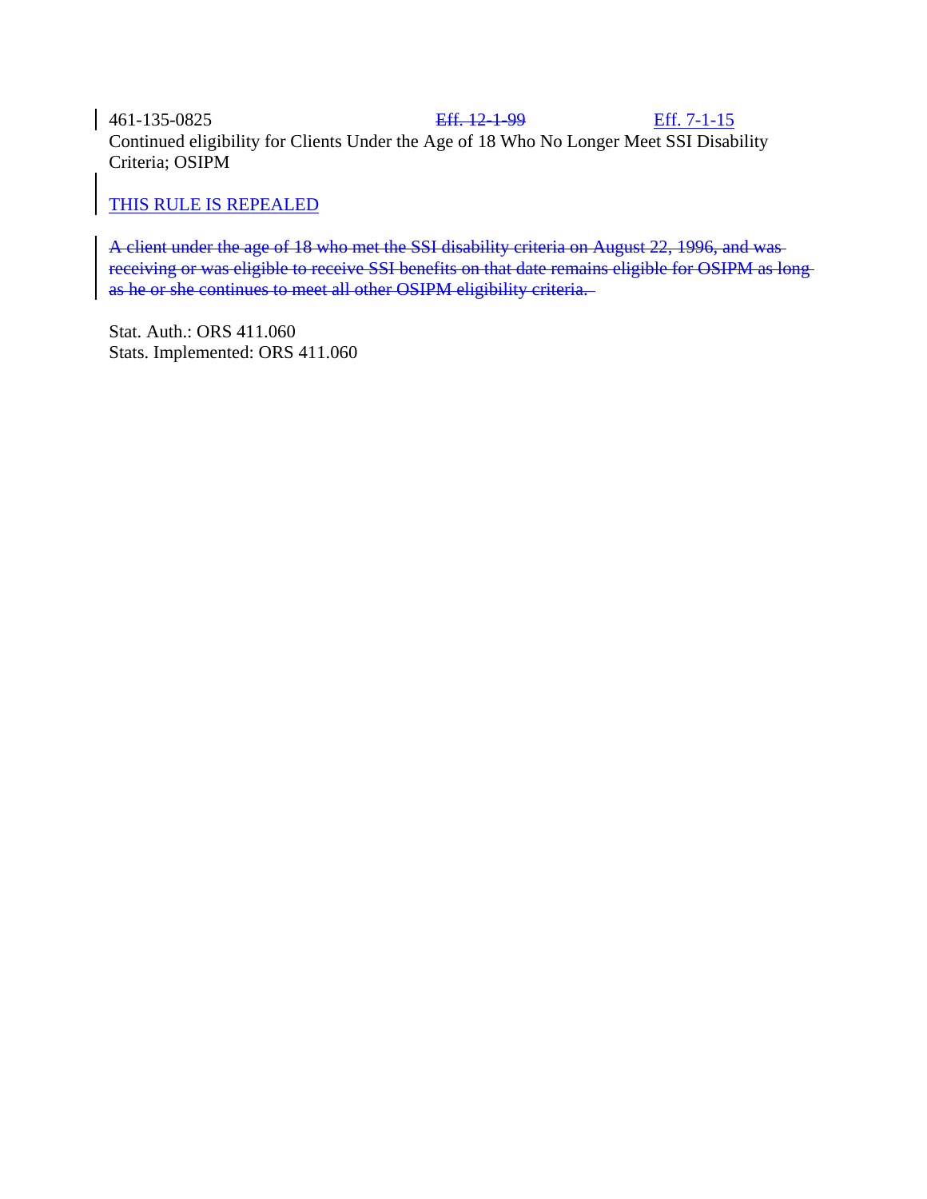461-135-0825 Eff. 12-1-99 Eff. 7-1-15 Continued eligibility for Clients Under the Age of 18 Who No Longer Meet SSI Disability Criteria; OSIPM

# THIS RULE IS REPEALED

A client under the age of 18 who met the SSI disability criteria on August 22, 1996, and was receiving or was eligible to receive SSI benefits on that date remains eligible for OSIPM as long as he or she continues to meet all other OSIPM eligibility criteria.

Stat. Auth.: ORS 411.060 Stats. Implemented: ORS 411.060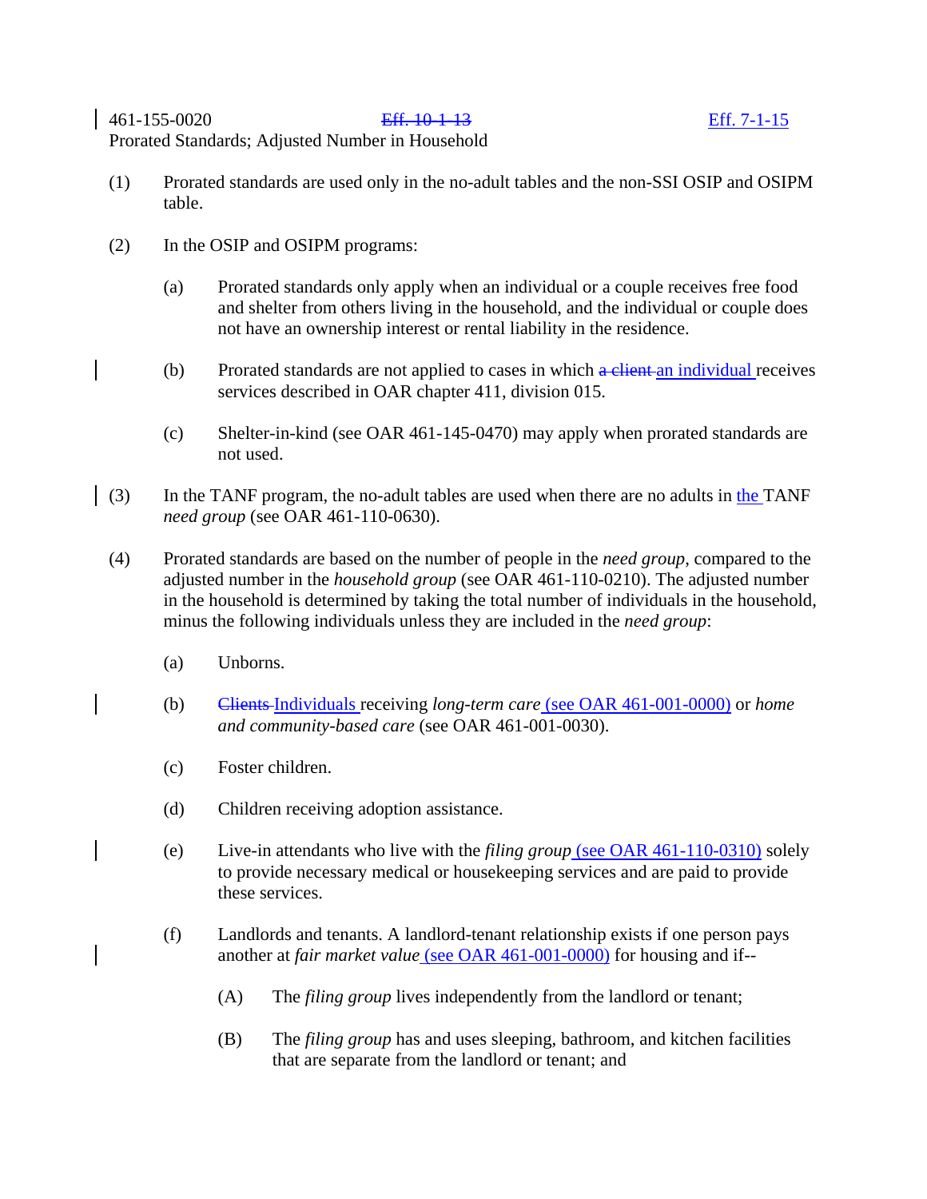- (1) Prorated standards are used only in the no-adult tables and the non-SSI OSIP and OSIPM table.
- (2) In the OSIP and OSIPM programs:
	- (a) Prorated standards only apply when an individual or a couple receives free food and shelter from others living in the household, and the individual or couple does not have an ownership interest or rental liability in the residence.
	- (b) Prorated standards are not applied to cases in which a client an individual receives services described in OAR chapter 411, division 015.
	- (c) Shelter-in-kind (see OAR 461-145-0470) may apply when prorated standards are not used.
- (3) In the TANF program, the no-adult tables are used when there are no adults in the TANF *need group* (see OAR 461-110-0630).
- (4) Prorated standards are based on the number of people in the *need group*, compared to the adjusted number in the *household group* (see OAR 461-110-0210). The adjusted number in the household is determined by taking the total number of individuals in the household, minus the following individuals unless they are included in the *need group*:
	- (a) Unborns.
	- (b) Clients Individuals receiving *long-term care* (see OAR 461-001-0000) or *home and community-based care* (see OAR 461-001-0030).
	- (c) Foster children.
	- (d) Children receiving adoption assistance.
	- (e) Live-in attendants who live with the *filing group* (see OAR 461-110-0310) solely to provide necessary medical or housekeeping services and are paid to provide these services.
	- (f) Landlords and tenants. A landlord-tenant relationship exists if one person pays another at *fair market value* (see OAR 461-001-0000) for housing and if--
		- (A) The *filing group* lives independently from the landlord or tenant;
		- (B) The *filing group* has and uses sleeping, bathroom, and kitchen facilities that are separate from the landlord or tenant; and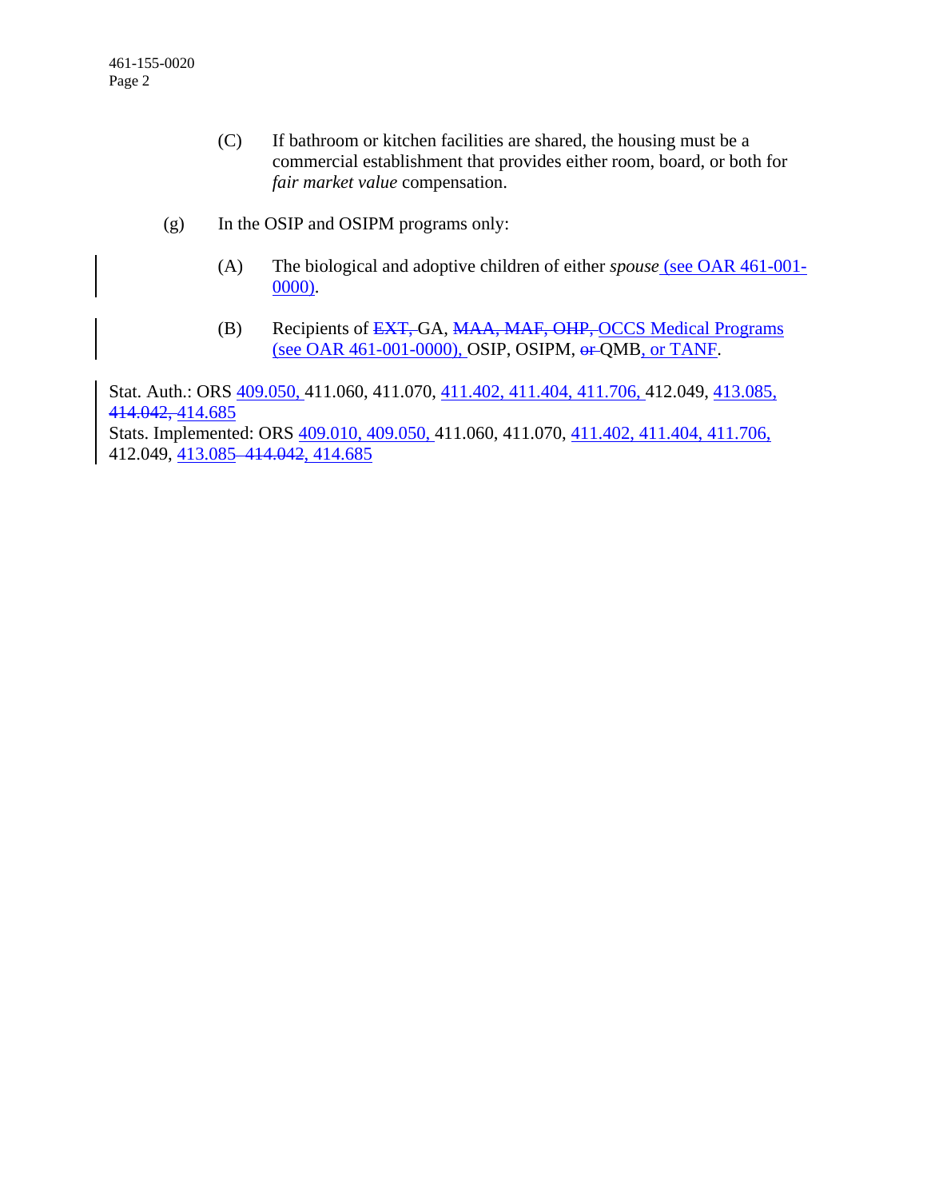- (C) If bathroom or kitchen facilities are shared, the housing must be a commercial establishment that provides either room, board, or both for *fair market value* compensation.
- (g) In the OSIP and OSIPM programs only:
	- (A) The biological and adoptive children of either *spouse* (see OAR 461-001- 0000).
	- (B) Recipients of EXT, GA, MAA, MAF, OHP, OCCS Medical Programs (see OAR 461-001-0000), OSIP, OSIPM, or QMB, or TANF.

Stat. Auth.: ORS 409.050, 411.060, 411.070, 411.402, 411.404, 411.706, 412.049, 413.085, 414.042, 414.685

Stats. Implemented: ORS 409.010, 409.050, 411.060, 411.070, 411.402, 411.404, 411.706, 412.049, 413.085 414.042, 414.685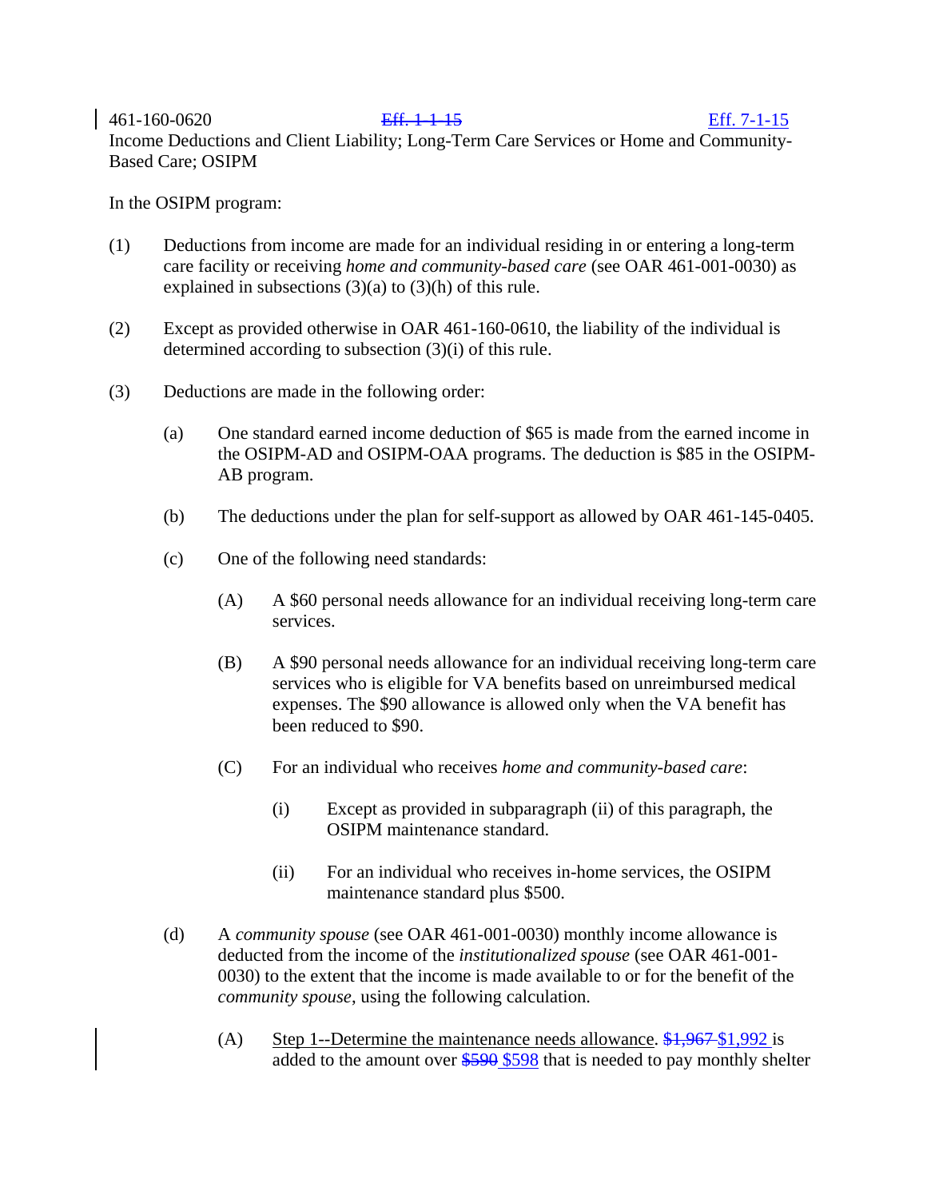461-160-0620 Eff. 1-1-15 Eff. 7-1-15 Income Deductions and Client Liability; Long-Term Care Services or Home and Community-Based Care; OSIPM

In the OSIPM program:

- (1) Deductions from income are made for an individual residing in or entering a long-term care facility or receiving *home and community-based care* (see OAR 461-001-0030) as explained in subsections  $(3)(a)$  to  $(3)(h)$  of this rule.
- (2) Except as provided otherwise in OAR 461-160-0610, the liability of the individual is determined according to subsection (3)(i) of this rule.
- (3) Deductions are made in the following order:
	- (a) One standard earned income deduction of \$65 is made from the earned income in the OSIPM-AD and OSIPM-OAA programs. The deduction is \$85 in the OSIPM-AB program.
	- (b) The deductions under the plan for self-support as allowed by OAR 461-145-0405.
	- (c) One of the following need standards:
		- (A) A \$60 personal needs allowance for an individual receiving long-term care services.
		- (B) A \$90 personal needs allowance for an individual receiving long-term care services who is eligible for VA benefits based on unreimbursed medical expenses. The \$90 allowance is allowed only when the VA benefit has been reduced to \$90.
		- (C) For an individual who receives *home and community-based care*:
			- (i) Except as provided in subparagraph (ii) of this paragraph, the OSIPM maintenance standard.
			- (ii) For an individual who receives in-home services, the OSIPM maintenance standard plus \$500.
	- (d) A *community spouse* (see OAR 461-001-0030) monthly income allowance is deducted from the income of the *institutionalized spouse* (see OAR 461-001- 0030) to the extent that the income is made available to or for the benefit of the *community spouse*, using the following calculation.
		- (A) Step 1--Determine the maintenance needs allowance.  $\frac{$1,967}{1,992}$  is added to the amount over \$590 \$598 that is needed to pay monthly shelter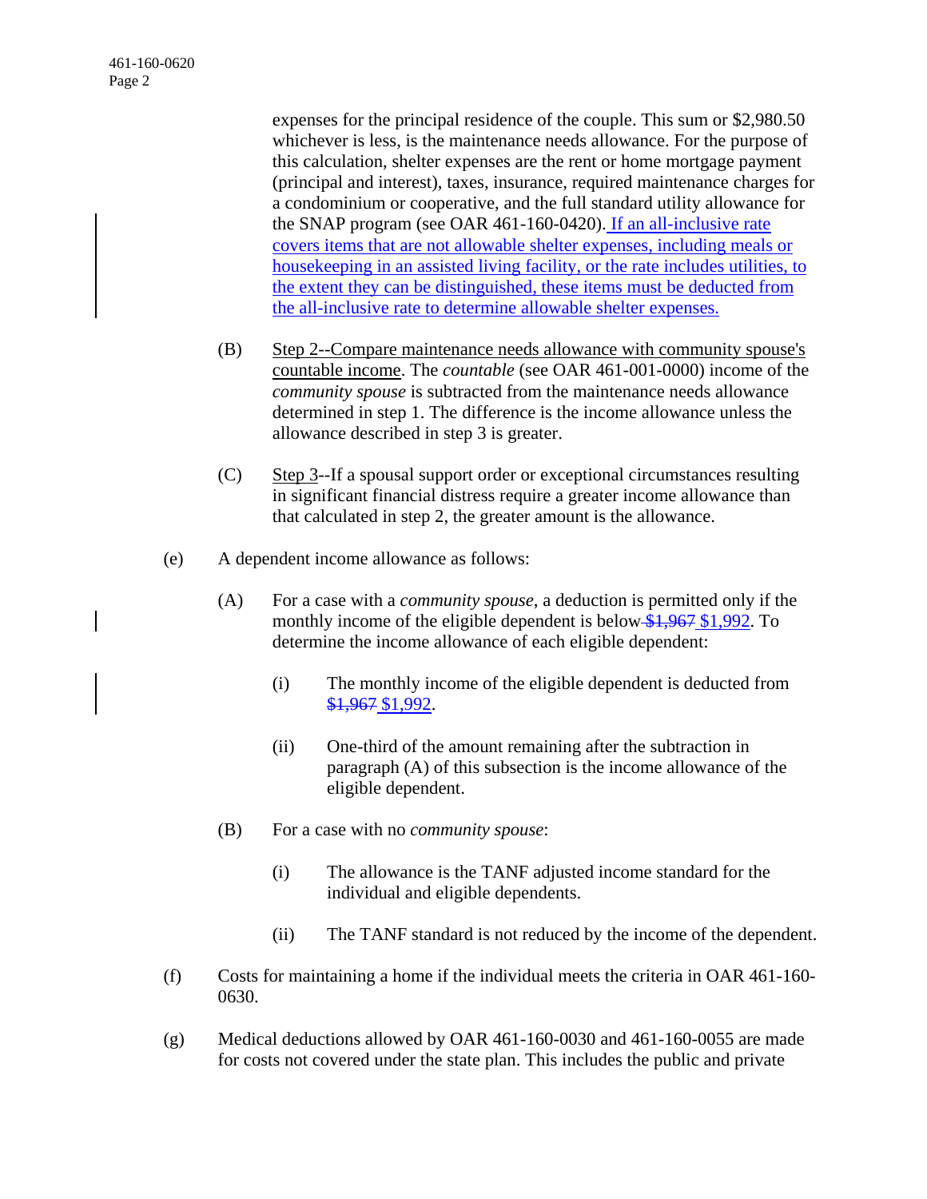expenses for the principal residence of the couple. This sum or \$2,980.50 whichever is less, is the maintenance needs allowance. For the purpose of this calculation, shelter expenses are the rent or home mortgage payment (principal and interest), taxes, insurance, required maintenance charges for a condominium or cooperative, and the full standard utility allowance for the SNAP program (see OAR 461-160-0420). If an all-inclusive rate covers items that are not allowable shelter expenses, including meals or housekeeping in an assisted living facility, or the rate includes utilities, to the extent they can be distinguished, these items must be deducted from the all-inclusive rate to determine allowable shelter expenses.

- (B) Step 2--Compare maintenance needs allowance with community spouse's countable income. The *countable* (see OAR 461-001-0000) income of the *community spouse* is subtracted from the maintenance needs allowance determined in step 1. The difference is the income allowance unless the allowance described in step 3 is greater.
- (C) Step 3--If a spousal support order or exceptional circumstances resulting in significant financial distress require a greater income allowance than that calculated in step 2, the greater amount is the allowance.
- (e) A dependent income allowance as follows:
	- (A) For a case with a *community spouse*, a deduction is permitted only if the monthly income of the eligible dependent is below  $$1,967$  \$1,992. To determine the income allowance of each eligible dependent:
		- (i) The monthly income of the eligible dependent is deducted from \$1,967 \$1,992.
		- (ii) One-third of the amount remaining after the subtraction in paragraph (A) of this subsection is the income allowance of the eligible dependent.
	- (B) For a case with no *community spouse*:
		- (i) The allowance is the TANF adjusted income standard for the individual and eligible dependents.
		- (ii) The TANF standard is not reduced by the income of the dependent.
- (f) Costs for maintaining a home if the individual meets the criteria in OAR 461-160- 0630.
- (g) Medical deductions allowed by OAR 461-160-0030 and 461-160-0055 are made for costs not covered under the state plan. This includes the public and private